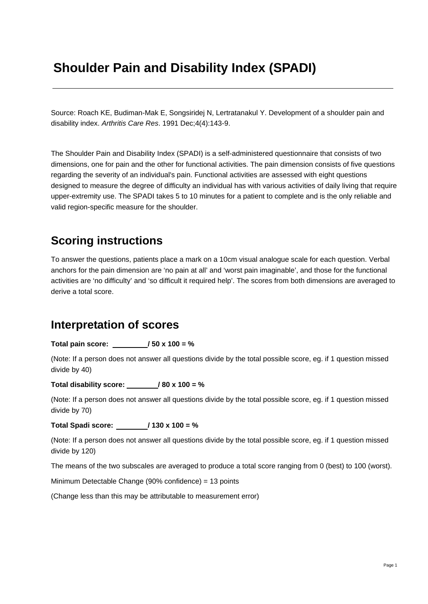# **Shoulder Pain and Disability Index (SPADI)**

Source: Roach KE, Budiman-Mak E, Songsiridej N, Lertratanakul Y. Development of a shoulder pain and disability index. *Arthritis Care Res*. 1991 Dec;4(4):143-9.

The Shoulder Pain and Disability Index (SPADI) is a self-administered questionnaire that consists of two dimensions, one for pain and the other for functional activities. The pain dimension consists of five questions regarding the severity of an individual's pain. Functional activities are assessed with eight questions designed to measure the degree of difficulty an individual has with various activities of daily living that require upper-extremity use. The SPADI takes 5 to 10 minutes for a patient to complete and is the only reliable and valid region-specific measure for the shoulder.

## **Scoring instructions**

To answer the questions, patients place a mark on a 10cm visual analogue scale for each question. Verbal anchors for the pain dimension are 'no pain at all' and 'worst pain imaginable', and those for the functional activities are 'no difficulty' and 'so difficult it required help'. The scores from both dimensions are averaged to derive a total score.

### **Interpretation of scores**

**Total pain score: / 50 x 100 = %** 

(Note: If a person does not answer all questions divide by the total possible score, eg. if 1 question missed divide by 40)

**Total disability score: / 80 x 100 = %** 

(Note: If a person does not answer all questions divide by the total possible score, eg. if 1 question missed divide by 70)

**Total Spadi score: / 130 x 100 = %** 

(Note: If a person does not answer all questions divide by the total possible score, eg. if 1 question missed divide by 120)

The means of the two subscales are averaged to produce a total score ranging from 0 (best) to 100 (worst).

Minimum Detectable Change (90% confidence) = 13 points

(Change less than this may be attributable to measurement error)